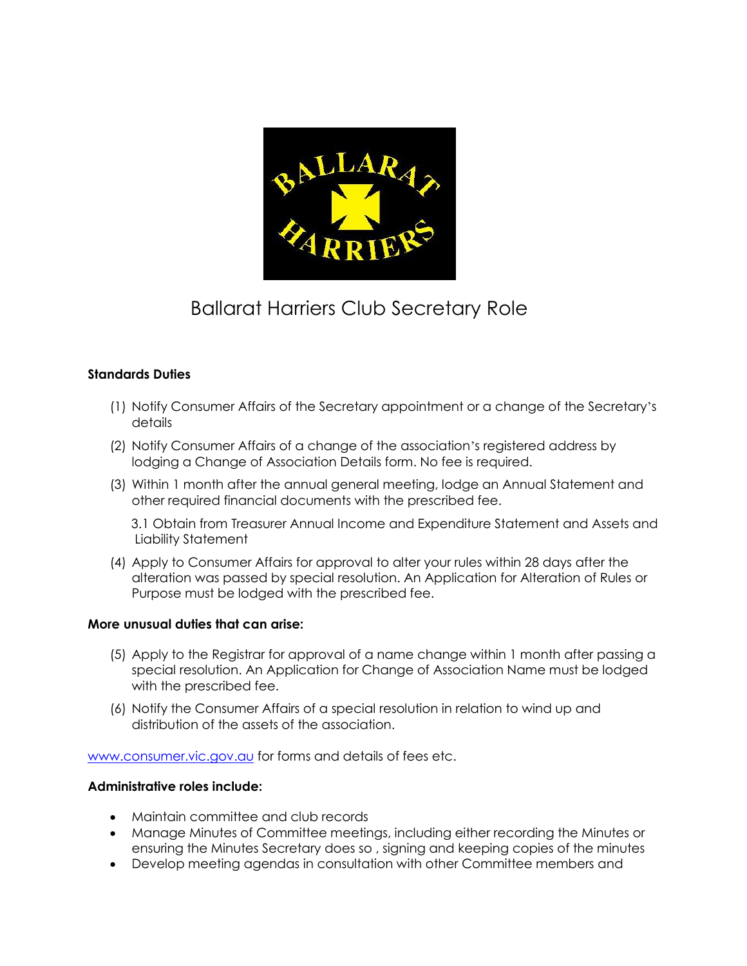

## Ballarat Harriers Club Secretary Role

## **Standards Duties**

- (1) Notify Consumer Affairs of the Secretary appointment or a change of the Secretary's details
- (2) Notify Consumer Affairs of a change of the association's registered address by lodging a Change of Association Details form. No fee is required.
- (3) Within 1 month after the annual general meeting, lodge an Annual Statement and other required financial documents with the prescribed fee.

3.1 Obtain from Treasurer Annual Income and Expenditure Statement and Assets and Liability Statement

(4) Apply to Consumer Affairs for approval to alter your rules within 28 days after the alteration was passed by special resolution. An Application for Alteration of Rules or Purpose must be lodged with the prescribed fee.

## **More unusual duties that can arise:**

- (5) Apply to the Registrar for approval of a name change within 1 month after passing a special resolution. An Application for Change of Association Name must be lodged with the prescribed fee.
- (6) Notify the Consumer Affairs of a special resolution in relation to wind up and distribution of the assets of the association.

[www.consumer.vic.gov.au](http://www.consumer.vic.gov.au/) for forms and details of fees etc.

## **Administrative roles include:**

- Maintain committee and club records
- Manage Minutes of Committee meetings, including either recording the Minutes or ensuring the Minutes Secretary does so , signing and keeping copies of the minutes
- Develop meeting agendas in consultation with other Committee members and